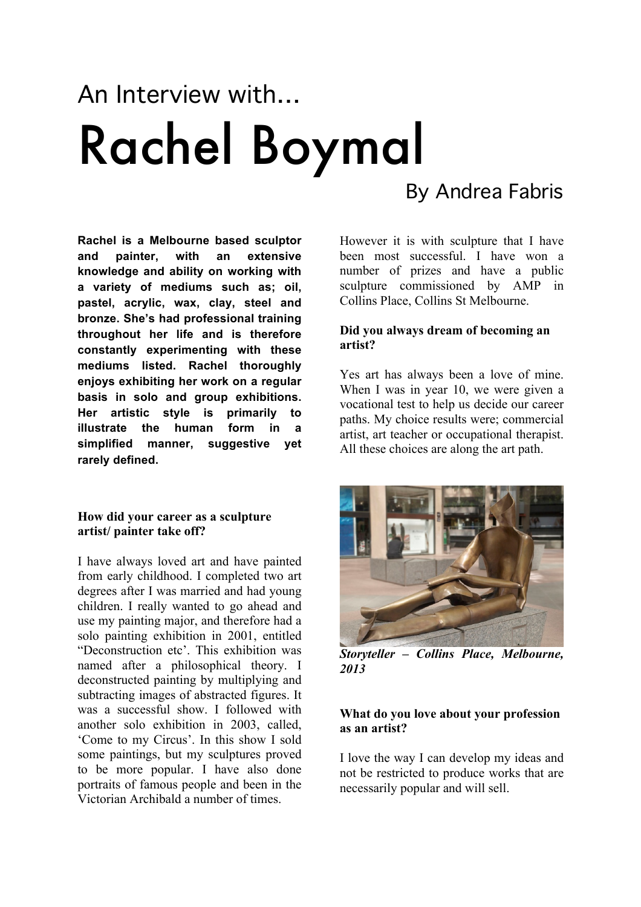# An Interview with… Rachel Boymal

# By Andrea Fabris

**Rachel is a Melbourne based sculptor and painter, with an extensive knowledge and ability on working with a variety of mediums such as; oil, pastel, acrylic, wax, clay, steel and bronze. She's had professional training throughout her life and is therefore constantly experimenting with these mediums listed. Rachel thoroughly enjoys exhibiting her work on a regular basis in solo and group exhibitions. Her artistic style is primarily to illustrate the human form in a simplified manner, suggestive yet rarely defined.**

#### **How did your career as a sculpture artist/ painter take off?**

I have always loved art and have painted from early childhood. I completed two art degrees after I was married and had young children. I really wanted to go ahead and use my painting major, and therefore had a solo painting exhibition in 2001, entitled "Deconstruction etc'. This exhibition was named after a philosophical theory. I deconstructed painting by multiplying and subtracting images of abstracted figures. It was a successful show. I followed with another solo exhibition in 2003, called, 'Come to my Circus'. In this show I sold some paintings, but my sculptures proved to be more popular. I have also done portraits of famous people and been in the Victorian Archibald a number of times.

However it is with sculpture that I have been most successful. I have won a number of prizes and have a public sculpture commissioned by AMP in Collins Place, Collins St Melbourne.

### **Did you always dream of becoming an artist?**

Yes art has always been a love of mine. When I was in year 10, we were given a vocational test to help us decide our career paths. My choice results were; commercial artist, art teacher or occupational therapist. All these choices are along the art path.



*Storyteller – Collins Place, Melbourne, 2013*

#### **What do you love about your profession as an artist?**

I love the way I can develop my ideas and not be restricted to produce works that are necessarily popular and will sell.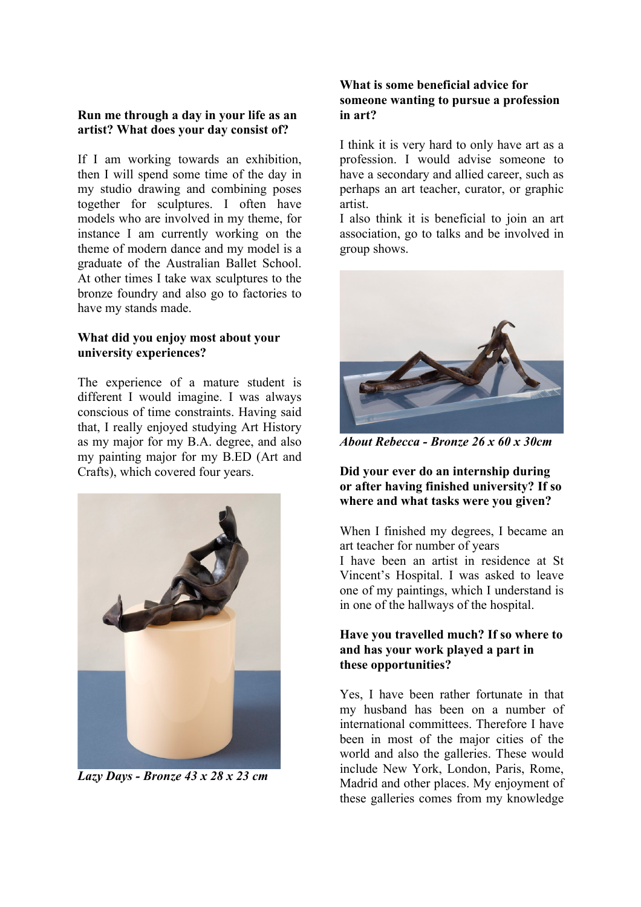### **Run me through a day in your life as an artist? What does your day consist of?**

If I am working towards an exhibition, then I will spend some time of the day in my studio drawing and combining poses together for sculptures. I often have models who are involved in my theme, for instance I am currently working on the theme of modern dance and my model is a graduate of the Australian Ballet School. At other times I take wax sculptures to the bronze foundry and also go to factories to have my stands made.

# **What did you enjoy most about your university experiences?**

The experience of a mature student is different I would imagine. I was always conscious of time constraints. Having said that, I really enjoyed studying Art History as my major for my B.A. degree, and also my painting major for my B.ED (Art and Crafts), which covered four years.



*Lazy Days - Bronze 43 x 28 x 23 cm*

### **What is some beneficial advice for someone wanting to pursue a profession in art?**

I think it is very hard to only have art as a profession. I would advise someone to have a secondary and allied career, such as perhaps an art teacher, curator, or graphic artist.

I also think it is beneficial to join an art association, go to talks and be involved in group shows.



*About Rebecca - Bronze 26 x 60 x 30cm*

# **Did your ever do an internship during or after having finished university? If so where and what tasks were you given?**

When I finished my degrees, I became an art teacher for number of years I have been an artist in residence at St

Vincent's Hospital. I was asked to leave one of my paintings, which I understand is in one of the hallways of the hospital.

# **Have you travelled much? If so where to and has your work played a part in these opportunities?**

Yes, I have been rather fortunate in that my husband has been on a number of international committees. Therefore I have been in most of the major cities of the world and also the galleries. These would include New York, London, Paris, Rome, Madrid and other places. My enjoyment of these galleries comes from my knowledge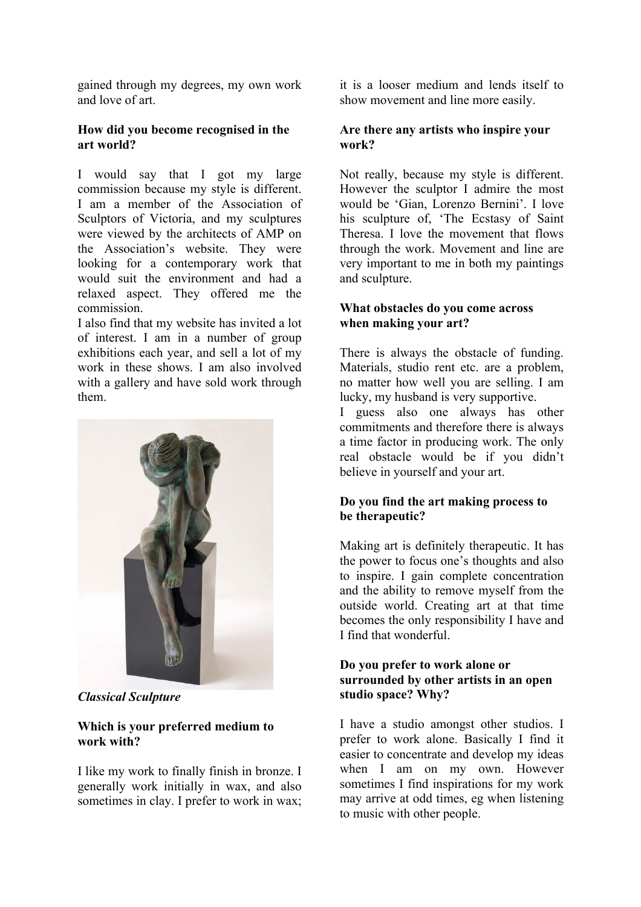gained through my degrees, my own work and love of art.

# **How did you become recognised in the art world?**

I would say that I got my large commission because my style is different. I am a member of the Association of Sculptors of Victoria, and my sculptures were viewed by the architects of AMP on the Association's website. They were looking for a contemporary work that would suit the environment and had a relaxed aspect. They offered me the commission.

I also find that my website has invited a lot of interest. I am in a number of group exhibitions each year, and sell a lot of my work in these shows. I am also involved with a gallery and have sold work through them.



*Classical Sculpture*

### **Which is your preferred medium to work with?**

I like my work to finally finish in bronze. I generally work initially in wax, and also sometimes in clay. I prefer to work in wax;

it is a looser medium and lends itself to show movement and line more easily.

# **Are there any artists who inspire your work?**

Not really, because my style is different. However the sculptor I admire the most would be 'Gian, Lorenzo Bernini'. I love his sculpture of, 'The Ecstasy of Saint Theresa. I love the movement that flows through the work. Movement and line are very important to me in both my paintings and sculpture.

# **What obstacles do you come across when making your art?**

There is always the obstacle of funding. Materials, studio rent etc. are a problem, no matter how well you are selling. I am lucky, my husband is very supportive.

I guess also one always has other commitments and therefore there is always a time factor in producing work. The only real obstacle would be if you didn't believe in yourself and your art.

# **Do you find the art making process to be therapeutic?**

Making art is definitely therapeutic. It has the power to focus one's thoughts and also to inspire. I gain complete concentration and the ability to remove myself from the outside world. Creating art at that time becomes the only responsibility I have and I find that wonderful.

#### **Do you prefer to work alone or surrounded by other artists in an open studio space? Why?**

I have a studio amongst other studios. I prefer to work alone. Basically I find it easier to concentrate and develop my ideas when I am on my own. However sometimes I find inspirations for my work may arrive at odd times, eg when listening to music with other people.